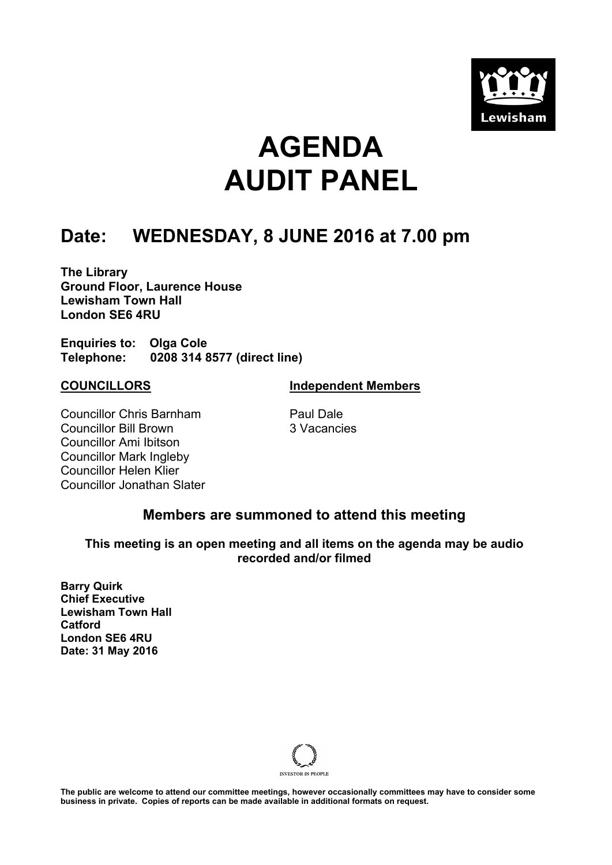

# **AGENDA AUDIT PANEL**

### **Date: WEDNESDAY, 8 JUNE 2016 at 7.00 pm**

**The Library Ground Floor, Laurence House Lewisham Town Hall London SE6 4RU**

**Enquiries to: Olga Cole Telephone: 0208 314 8577 (direct line)**

**COUNCILLORS Independent Members**

Councillor Chris Barnham Councillor Bill Brown Councillor Ami Ibitson Councillor Mark Ingleby Councillor Helen Klier Councillor Jonathan Slater Paul Dale 3 Vacancies

### **Members are summoned to attend this meeting**

**This meeting is an open meeting and all items on the agenda may be audio recorded and/or filmed**

**Barry Quirk Chief Executive Lewisham Town Hall Catford London SE6 4RU Date: 31 May 2016**



The public are welcome to attend our committee meetings, however occasionally committees may have to consider some **business in private. Copies of reports can be made available in additional formats on request.**